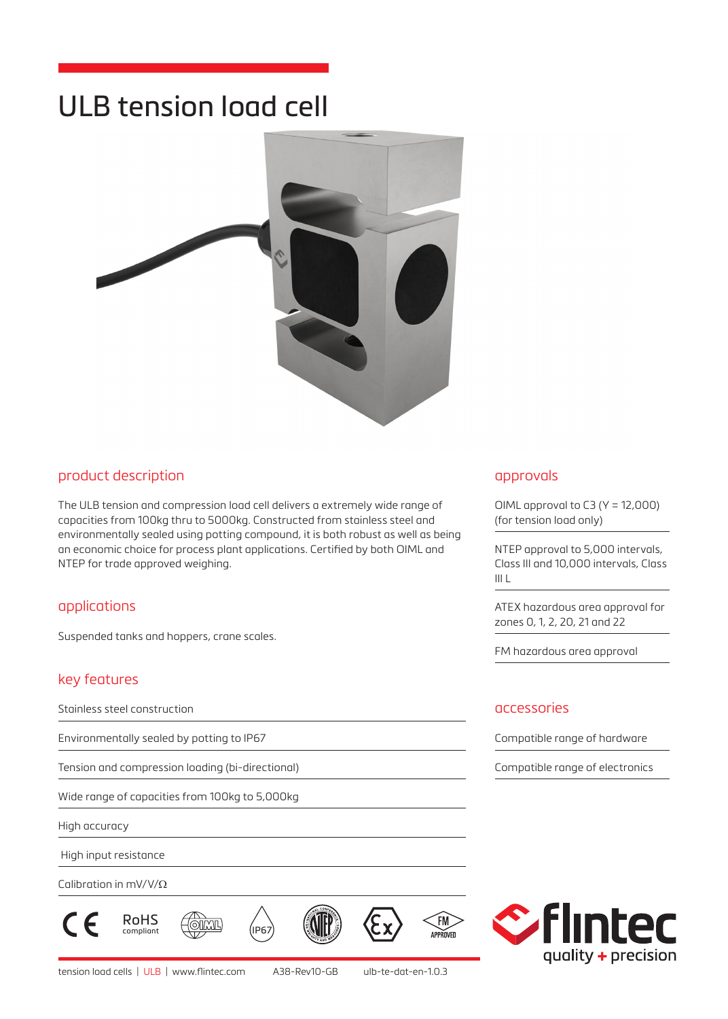# ULB tension load cell



## product description

The ULB tension and compression load cell delivers a extremely wide range of capacities from 100kg thru to 5000kg. Constructed from stainless steel and environmentally sealed using potting compound, it is both robust as well as being an economic choice for process plant applications. Certified by both OIML and NTEP for trade approved weighing.

# applications

Suspended tanks and hoppers, crane scales.

# key features

Stainless steel construction

Environmentally sealed by potting to IP67

Tension and compression loading (bi-directional)

Wide range of capacities from 100kg to 5,000kg

High accuracy

High input resistance

Calibration in mV/V/Ω







 $\widehat{F}$ 

APPROVED

#### approvals

OIML approval to C3 (Y = 12,000) (for tension load only)

NTEP approval to 5,000 intervals, Class III and 10,000 intervals, Class III L

ATEX hazardous area approval for zones 0, 1, 2, 20, 21 and 22

FM hazardous area approval

#### accessories

Compatible range of hardware

Compatible range of electronics

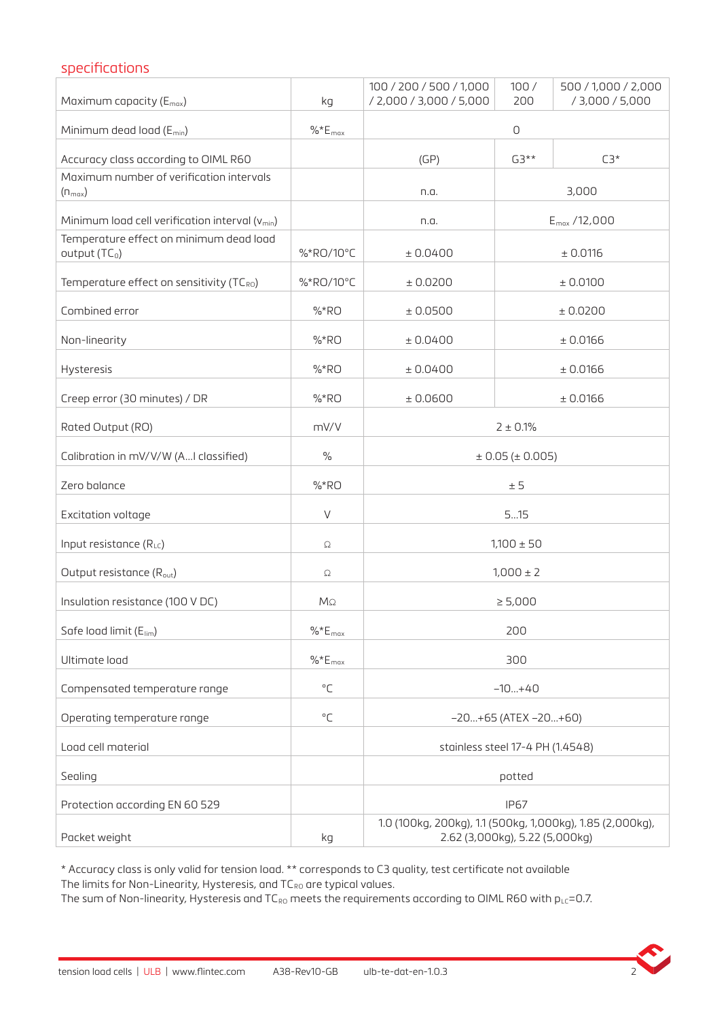## specifications

| Maximum capacity (E <sub>max</sub> )                                 | kg                 | 100 / 200 / 500 / 1,000<br>/ 2,000 / 3,000 / 5,000                                          | 100/<br>200       | 500 / 1,000 / 2,000<br>/ 3,000 / 5,000 |  |
|----------------------------------------------------------------------|--------------------|---------------------------------------------------------------------------------------------|-------------------|----------------------------------------|--|
| Minimum dead load (E <sub>min</sub> )                                | $%E_{max}$         | $\mathsf O$                                                                                 |                   |                                        |  |
| Accuracy class according to OIML R60                                 |                    | (GP)                                                                                        | $G3**$            | $C3*$                                  |  |
| Maximum number of verification intervals<br>$(n_{max})$              |                    | n.a.                                                                                        | 3,000             |                                        |  |
| Minimum load cell verification interval $(v_{min})$                  |                    | n.a.                                                                                        | $E_{max}$ /12,000 |                                        |  |
| Temperature effect on minimum dead load<br>output (TC <sub>0</sub> ) | %*RO/10°C          | ± 0.0400                                                                                    | ± 0.0116          |                                        |  |
| Temperature effect on sensitivity (TCRO)                             | %*RO/10°C          | ± 0.0200                                                                                    | ± 0.0100          |                                        |  |
| Combined error                                                       | % RO               | ± 0.0500                                                                                    | ± 0.0200          |                                        |  |
| Non-linearity                                                        | % RO               | ± 0.0400                                                                                    | ± 0.0166          |                                        |  |
| Hysteresis                                                           | % RO               | ± 0.0400                                                                                    | ± 0.0166          |                                        |  |
| Creep error (30 minutes) / DR                                        | % RO               | ± 0.0600                                                                                    | ± 0.0166          |                                        |  |
| Rated Output (RO)                                                    | mV/V               |                                                                                             | $2 + 0.1%$        |                                        |  |
| Calibration in mV/V/W (AI classified)                                | $\%$               | $\pm$ 0.05 ( $\pm$ 0.005)                                                                   |                   |                                        |  |
| Zero balance                                                         | % RO               | ± 5                                                                                         |                   |                                        |  |
| Excitation voltage                                                   | V                  | 515                                                                                         |                   |                                        |  |
| Input resistance (RLC)                                               | Ω                  | $1,100 \pm 50$                                                                              |                   |                                        |  |
| Output resistance (R <sub>out</sub> )                                | Ω                  | $1,000 \pm 2$                                                                               |                   |                                        |  |
| Insulation resistance (100 V DC)                                     | MΩ                 | $\geq 5,000$                                                                                |                   |                                        |  |
| Safe load limit (E <sub>lim</sub> )                                  | $\% E_{\rm max}$   | 200                                                                                         |                   |                                        |  |
| Ultimate load                                                        | $\%E_{\text{max}}$ | 300                                                                                         |                   |                                        |  |
| Compensated temperature range                                        | $^{\circ}$ C       | $-10+40$                                                                                    |                   |                                        |  |
| Operating temperature range                                          | $^{\circ}$ C       | $-20+65$ (ATEX $-20+60$ )                                                                   |                   |                                        |  |
| Load cell material                                                   |                    | stainless steel 17-4 PH (1.4548)                                                            |                   |                                        |  |
| Sealing                                                              |                    | potted                                                                                      |                   |                                        |  |
| Protection according EN 60 529                                       |                    | <b>IP67</b>                                                                                 |                   |                                        |  |
| Packet weight                                                        | kg                 | 1.0 (100kg, 200kg), 1.1 (500kg, 1,000kg), 1.85 (2,000kg),<br>2.62 (3,000kg), 5.22 (5,000kg) |                   |                                        |  |

\* Accuracy class is only valid for tension load. \*\* corresponds to C3 quality, test certificate not available The limits for Non-Linearity, Hysteresis, and  $TC_{RO}$  are typical values.

The sum of Non-linearity, Hysteresis and TC<sub>RO</sub> meets the requirements according to OIML R60 with  $p_{LC}=0.7$ .